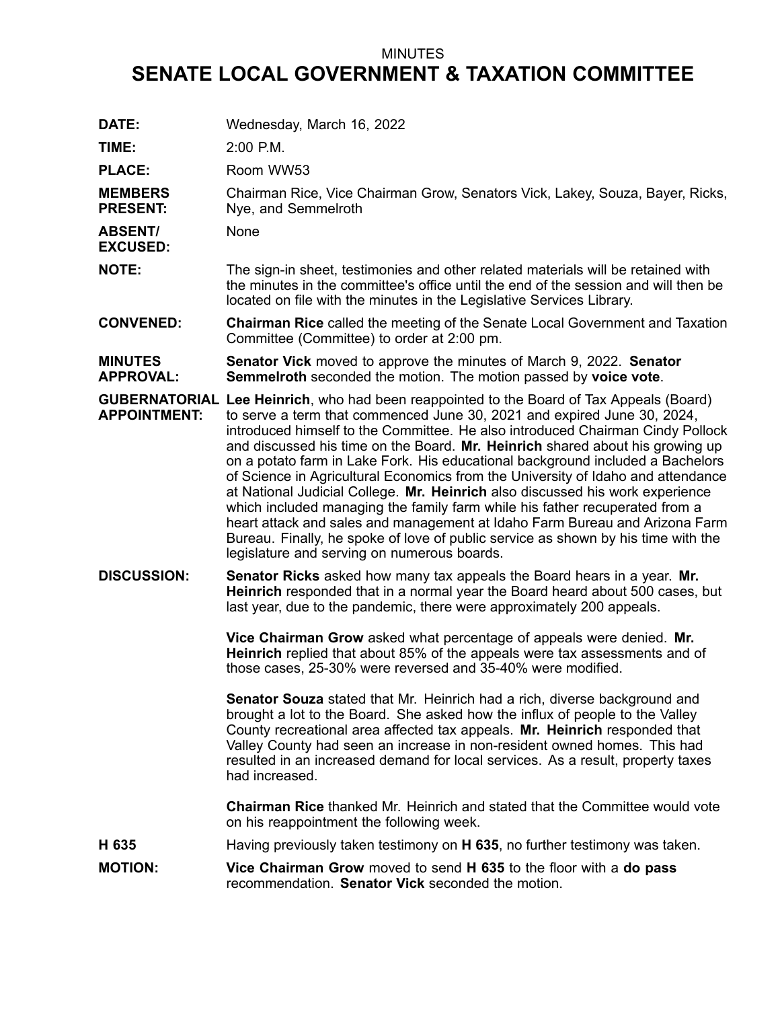## MINUTES

## **SENATE LOCAL GOVERNMENT & TAXATION COMMITTEE**

| DATE:                              | Wednesday, March 16, 2022                                                                                                                                                                                                                                                                                                                                                                                                                                                                                                                                                                                                                                                                                                                                                                                                                                                                              |
|------------------------------------|--------------------------------------------------------------------------------------------------------------------------------------------------------------------------------------------------------------------------------------------------------------------------------------------------------------------------------------------------------------------------------------------------------------------------------------------------------------------------------------------------------------------------------------------------------------------------------------------------------------------------------------------------------------------------------------------------------------------------------------------------------------------------------------------------------------------------------------------------------------------------------------------------------|
| TIME:                              | 2:00 P.M.                                                                                                                                                                                                                                                                                                                                                                                                                                                                                                                                                                                                                                                                                                                                                                                                                                                                                              |
| <b>PLACE:</b>                      | Room WW53                                                                                                                                                                                                                                                                                                                                                                                                                                                                                                                                                                                                                                                                                                                                                                                                                                                                                              |
| <b>MEMBERS</b><br><b>PRESENT:</b>  | Chairman Rice, Vice Chairman Grow, Senators Vick, Lakey, Souza, Bayer, Ricks,<br>Nye, and Semmelroth                                                                                                                                                                                                                                                                                                                                                                                                                                                                                                                                                                                                                                                                                                                                                                                                   |
| <b>ABSENT/</b><br><b>EXCUSED:</b>  | None                                                                                                                                                                                                                                                                                                                                                                                                                                                                                                                                                                                                                                                                                                                                                                                                                                                                                                   |
| <b>NOTE:</b>                       | The sign-in sheet, testimonies and other related materials will be retained with<br>the minutes in the committee's office until the end of the session and will then be<br>located on file with the minutes in the Legislative Services Library.                                                                                                                                                                                                                                                                                                                                                                                                                                                                                                                                                                                                                                                       |
| <b>CONVENED:</b>                   | <b>Chairman Rice</b> called the meeting of the Senate Local Government and Taxation<br>Committee (Committee) to order at 2:00 pm.                                                                                                                                                                                                                                                                                                                                                                                                                                                                                                                                                                                                                                                                                                                                                                      |
| <b>MINUTES</b><br><b>APPROVAL:</b> | <b>Senator Vick</b> moved to approve the minutes of March 9, 2022. Senator<br>Semmelroth seconded the motion. The motion passed by voice vote.                                                                                                                                                                                                                                                                                                                                                                                                                                                                                                                                                                                                                                                                                                                                                         |
| <b>APPOINTMENT:</b>                | <b>GUBERNATORIAL Lee Heinrich, who had been reappointed to the Board of Tax Appeals (Board)</b><br>to serve a term that commenced June 30, 2021 and expired June 30, 2024,<br>introduced himself to the Committee. He also introduced Chairman Cindy Pollock<br>and discussed his time on the Board. Mr. Heinrich shared about his growing up<br>on a potato farm in Lake Fork. His educational background included a Bachelors<br>of Science in Agricultural Economics from the University of Idaho and attendance<br>at National Judicial College. Mr. Heinrich also discussed his work experience<br>which included managing the family farm while his father recuperated from a<br>heart attack and sales and management at Idaho Farm Bureau and Arizona Farm<br>Bureau. Finally, he spoke of love of public service as shown by his time with the<br>legislature and serving on numerous boards. |
| <b>DISCUSSION:</b>                 | <b>Senator Ricks</b> asked how many tax appeals the Board hears in a year. Mr.<br>Heinrich responded that in a normal year the Board heard about 500 cases, but<br>last year, due to the pandemic, there were approximately 200 appeals.                                                                                                                                                                                                                                                                                                                                                                                                                                                                                                                                                                                                                                                               |
|                                    | Vice Chairman Grow asked what percentage of appeals were denied. Mr.<br>Heinrich replied that about 85% of the appeals were tax assessments and of<br>those cases, 25-30% were reversed and 35-40% were modified.                                                                                                                                                                                                                                                                                                                                                                                                                                                                                                                                                                                                                                                                                      |
|                                    | Senator Souza stated that Mr. Heinrich had a rich, diverse background and<br>brought a lot to the Board. She asked how the influx of people to the Valley<br>County recreational area affected tax appeals. Mr. Heinrich responded that<br>Valley County had seen an increase in non-resident owned homes. This had<br>resulted in an increased demand for local services. As a result, property taxes<br>had increased.                                                                                                                                                                                                                                                                                                                                                                                                                                                                               |
|                                    | <b>Chairman Rice thanked Mr. Heinrich and stated that the Committee would vote</b><br>on his reappointment the following week.                                                                                                                                                                                                                                                                                                                                                                                                                                                                                                                                                                                                                                                                                                                                                                         |
| H 635                              | Having previously taken testimony on H 635, no further testimony was taken.                                                                                                                                                                                                                                                                                                                                                                                                                                                                                                                                                                                                                                                                                                                                                                                                                            |
| <b>MOTION:</b>                     | Vice Chairman Grow moved to send H 635 to the floor with a do pass<br>recommendation. Senator Vick seconded the motion.                                                                                                                                                                                                                                                                                                                                                                                                                                                                                                                                                                                                                                                                                                                                                                                |